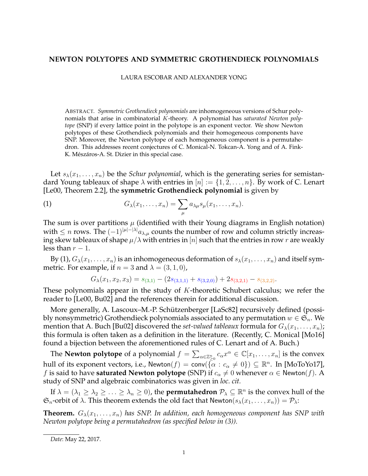## **NEWTON POLYTOPES AND SYMMETRIC GROTHENDIECK POLYNOMIALS**

LAURA ESCOBAR AND ALEXANDER YONG

ABSTRACT. *Symmetric Grothendieck polynomials* are inhomogeneous versions of Schur polynomials that arise in combinatorial K-theory. A polynomial has *saturated Newton polytope* (SNP) if every lattice point in the polytope is an exponent vector. We show Newton polytopes of these Grothendieck polynomials and their homogeneous components have SNP. Moreover, the Newton polytope of each homogeneous component is a permutahedron. This addresses recent conjectures of C. Monical-N. Tokcan-A. Yong and of A. Fink-K. Mészáros-A. St. Dizier in this special case.

Let  $s_{\lambda}(x_1, \ldots, x_n)$  be the *Schur polynomial*, which is the generating series for semistandard Young tableaux of shape  $\lambda$  with entries in  $[n] := \{1, 2, \ldots, n\}$ . By work of C. Lenart [Le00, Theorem 2.2], the **symmetric Grothendieck polynomial** is given by

(1) 
$$
G_{\lambda}(x_1,\ldots,x_n)=\sum_{\mu}a_{\lambda\mu}s_{\mu}(x_1,\ldots,x_n).
$$

The sum is over partitions  $\mu$  (identified with their Young diagrams in English notation) with  $\leq n$  rows. The  $(-1)^{|\mu|-|\lambda|}a_{\lambda,\mu}$  counts the number of row and column strictly increasing skew tableaux of shape  $\mu/\lambda$  with entries in [n] such that the entries in row r are weakly less than  $r - 1$ .

By (1),  $G_{\lambda}(x_1,\ldots,x_n)$  is an inhomogeneous deformation of  $s_{\lambda}(x_1,\ldots,x_n)$  and itself symmetric. For example, if  $n = 3$  and  $\lambda = (3, 1, 0)$ ,

$$
G_{\lambda}(x_1, x_2, x_3) = s_{(3,1)} - (2s_{(3,1,1)} + s_{(3,2,0)}) + 2s_{(3,2,1)} - s_{(3,2,2)}.
$$

These polynomials appear in the study of K-theoretic Schubert calculus; we refer the reader to [Le00, Bu02] and the references therein for additional discussion.

More generally, A. Lascoux–M.-P. Schützenberger [LaSc82] recursively defined (possibly nonsymmetric) Grothendieck polynomials associated to any permutation  $w \in \mathfrak{S}_n$ . We mention that A. Buch [Bu02] discovered the *set-valued tableaux* formula for  $G_{\lambda}(x_1, \ldots, x_n)$ ; this formula is often taken as a definition in the literature. (Recently, C. Monical [Mo16] found a bijection between the aforementioned rules of C. Lenart and of A. Buch.)

The **Newton polytope** of a polynomial  $f = \sum_{\alpha \in \mathbb{Z}_{\geq 0}^n} c_\alpha x^\alpha \in \mathbb{C}[x_1,\ldots,x_n]$  is the convex hull of its exponent vectors, i.e., Newton $(f)=\mathsf{conv}(\tilde{\{\alpha}}:c_\alpha\neq 0\})\subseteq \mathbb{R}^n.$  In [MoToYo17], f is said to have **saturated Newton polytope** (SNP) if  $c_{\alpha} \neq 0$  whenever  $\alpha \in \mathsf{Newton}(f)$ . A study of SNP and algebraic combinatorics was given in *loc. cit.*

If  $\lambda = (\lambda_1 \ge \lambda_2 \ge \ldots \ge \lambda_n \ge 0)$ , the **permutahedron**  $\mathcal{P}_\lambda \subseteq \mathbb{R}^n$  is the convex hull of the  $\mathfrak{S}_n$ -orbit of  $\lambda$ . This theorem extends the old fact that Newton $(s_\lambda(x_1, \ldots, x_n)) = \mathcal{P}_\lambda$ :

**Theorem.**  $G_{\lambda}(x_1, \ldots, x_n)$  has SNP. In addition, each homogeneous component has SNP with *Newton polytope being a permutahedron (as specified below in (3)).*

*Date*: May 22, 2017.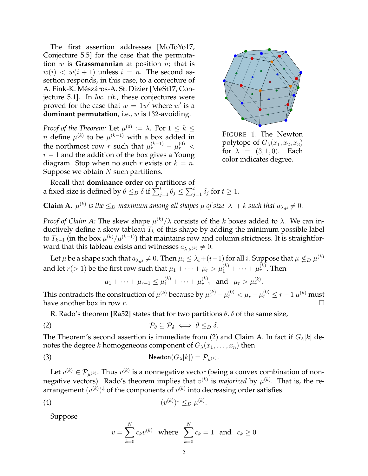The first assertion addresses [MoToYo17, Conjecture 5.5] for the case that the permutation w is **Grassmannian** at position n; that is  $w(i) < w(i + 1)$  unless  $i = n$ . The second assertion responds, in this case, to a conjecture of A. Fink-K. Mészáros-A. St. Dizier [MeSt17, Conjecture 5.1]. In *loc. cit.*, these conjectures were proved for the case that  $w = 1w'$  where w' is a **dominant permutation**, i.e., w is 132-avoiding.

*Proof of the Theorem:* Let  $\mu^{(0)} := \lambda$ . For  $1 \leq k \leq$ n define  $\mu^{(k)}$  to be  $\mu^{(k-1)}$  with a box added in the northmost row r such that  $\mu_r^{(k-1)} - \mu_r^{(0)} <$  $r-1$  and the addition of the box gives a Young diagram. Stop when no such r exists or  $k = n$ . Suppose we obtain  $N$  such partitions.



FIGURE 1. The Newton polytope of  $G_{\lambda}(x_1, x_2, x_3)$ for  $\lambda = (3, 1, 0)$ . Each color indicates degree.

.

Recall that **dominance order** on partitions of a fixed size is defined by  $\theta \leq_D \delta$  if  $\sum_{j=1}^t \theta_j \leq \sum_{j=1}^t \delta_j$  for  $t \geq 1$ .

**Claim A.**  $\mu^{(k)}$  is the  $\leq_D$ -maximum among all shapes  $\mu$  of size  $|\lambda| + k$  such that  $a_{\lambda,\mu} \neq 0$ .

*Proof of Claim A:* The skew shape  $\mu^{(k)}/\lambda$  consists of the k boxes added to  $\lambda$ . We can inductively define a skew tableau  $T_k$  of this shape by adding the minimum possible label to  $T_{k-1}$  (in the box  $\mu^{(k)}/\mu^{(k-1)}$ ) that maintains row and column strictness. It is straightforward that this tableau exists and witnesses  $a_{\lambda,\mu}(k) \neq 0$ .

Let  $\mu$  be a shape such that  $a_{\lambda,\mu}\neq 0$ . Then  $\mu_i\leq \lambda_i+(i-1)$  for all i. Suppose that  $\mu\nleq_D \mu^{(k)}$ and let  $r (> 1)$  be the first row such that  $\mu_1 + \cdots + \mu_r > \mu_1^{(k)} + \cdots + \mu_r^{(k)}.$  Then

$$
\mu_1 + \cdots + \mu_{r-1} \le \mu_1^{(k)} + \cdots + \mu_{r-1}^{(k)}
$$
 and  $\mu_r > \mu_r^{(k)}$ 

This contradicts the construction of  $\mu^{(k)}$  because by  $\mu^{(k)}_r-\mu^{(0)}_r<\mu_r-\mu^{(0)}_r\leq r-1$   $\mu^{(k)}$  must have another box in row r.

R. Rado's theorem [Ra52] states that for two partitions  $\theta$ ,  $\delta$  of the same size,

$$
\mathcal{P}_{\theta} \subseteq \mathcal{P}_{\delta} \iff \theta \leq_D \delta.
$$

The Theorem's second assertion is immediate from (2) and Claim A. In fact if  $G_{\lambda}[k]$  denotes the degree k homogeneous component of  $G_{\lambda}(x_1, \ldots, x_n)$  then

(3) 
$$
\mathsf{Newton}(G_{\lambda}[k]) = \mathcal{P}_{\mu^{(k)}}.
$$

Let  $v^{(k)} \in \mathcal{P}_{\mu^{(k)}}$ . Thus  $v^{(k)}$  is a nonnegative vector (being a convex combination of nonnegative vectors). Rado's theorem implies that  $v^{(k)}$  is *majorized* by  $\mu^{(k)}$ . That is, the rearrangement  $(v^{(k)})^\downarrow$  of the components of  $v^{(k)}$  into decreasing order satisfies

$$
(4) \qquad \qquad (v^{(k)})^{\downarrow} \leq_D \mu^{(k)}.
$$

Suppose

$$
v = \sum_{k=0}^{N} c_k v^{(k)}
$$
 where  $\sum_{k=0}^{N} c_k = 1$  and  $c_k \ge 0$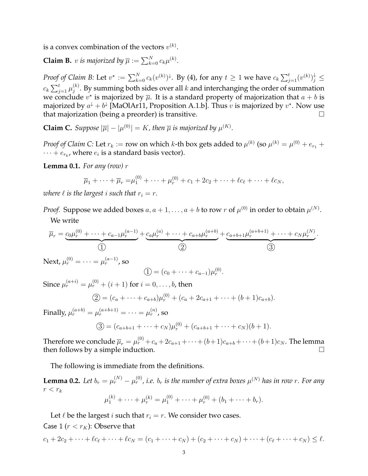is a convex combination of the vectors  $v^{(k)}$ .

**Claim B.** *v is majorized by*  $\overline{\mu} := \sum_{k=0}^{N} c_k \mu^{(k)}$ *.* 

*Proof of Claim B:* Let  $v^\star := \sum_{k=0}^N c_k(v^{(k)})^\downarrow$ . By (4), for any  $t \geq 1$  we have  $c_k \sum_{j=1}^t (v^{(k)})^\downarrow_j \leq$  $c_k \sum_{j=1}^t \mu_j^{(k)}$  $j^{(k)}_j$ . By summing both sides over all  $k$  and interchanging the order of summation we conclude  $v^{\star}$  is majorized by  $\overline{\mu}$ . It is a standard property of majorization that  $a + b$  is majorized by  $a^{\downarrow}+b^{\downarrow}$  [MaOlAr11, Proposition A.1.b]. Thus  $v$  is majorized by  $v^{\star}.$  Now use that majorization (being a preorder) is transitive.

**Claim C.** Suppose  $|\overline{\mu}| - |\mu^{(0)}| = K$ , then  $\overline{\mu}$  is majorized by  $\mu^{(K)}$ .

*Proof of Claim C:* Let  $r_k :=$  row on which  $k$ -th box gets added to  $\mu^{(k)}$  (so  $\mu^{(k)} = \mu^{(0)} + e_{r_1} +$  $\cdots + e_{r_k}$ , where  $e_i$  is a standard basis vector).

**Lemma 0.1.** *For any (row)* r

$$
\overline{\mu}_1 + \cdots + \overline{\mu}_r = \mu_1^{(0)} + \cdots + \mu_r^{(0)} + c_1 + 2c_2 + \cdots + \ell c_{\ell} + \cdots + \ell c_N,
$$

*where*  $\ell$  *is the largest i such that*  $r_i = r$ *.* 

*Proof.* Suppose we added boxes  $a, a + 1, \ldots, a + b$  to row  $r$  of  $\mu^{(0)}$  in order to obtain  $\mu^{(N)}$ . We write

$$
\overline{\mu}_r = \underbrace{c_0 \mu_r^{(0)} + \dots + c_{a-1} \mu_r^{(a-1)}}_{(1)} + \underbrace{c_a \mu_r^{(a)} + \dots + c_{a+b} \mu_r^{(a+b)}}_{(2)} + \underbrace{c_{a+b+1} \mu_r^{(a+b+1)} + \dots + c_N \mu_r^{(N)}}_{(3)}.
$$

Next,  $\mu_r^{(0)} = \cdots = \mu_r^{(a-1)}$ , so

$$
\textcircled{1}=(c_0+\cdots+c_{a-1})\mu_r^{(0)}.
$$

Since  $\mu_r^{(a+i)}=\mu_r^{(0)}+(i+1)$  for  $i=0,\ldots,b$ , then

$$
\textcircled{2} = (c_a + \dots + c_{a+b})\mu_r^{(0)} + (c_a + 2c_{a+1} + \dots + (b+1)c_{a+b}).
$$

Finally,  $\mu_r^{(a+b)} = \mu_r^{(a+b+1)} = \cdots = \mu_r^{(n)}$ , so

$$
\textcircled{3} = (c_{a+b+1} + \dots + c_N)\mu_r^{(0)} + (c_{a+b+1} + \dots + c_N)(b+1).
$$

Therefore we conclude  $\overline{\mu}_r=\mu_r^{(0)}+c_a+2c_{a+1}+\cdots+(b+1)c_{a+b}+\cdots+(b+1)c_N.$  The lemma then follows by a simple induction.

The following is immediate from the definitions.

**Lemma 0.2.** Let  $b_r = \mu_r^{(N)} - \mu_r^{(0)}$ , i.e.  $b_r$  is the number of extra boxes  $\mu^{(N)}$  has in row r. For any  $r < r_k$ 

$$
\mu_1^{(k)} + \cdots + \mu_r^{(k)} = \mu_1^{(0)} + \cdots + \mu_r^{(0)} + (b_1 + \cdots + b_r).
$$

Let  $\ell$  be the largest *i* such that  $r_i = r$ . We consider two cases. Case 1 ( $r < r_K$ ): Observe that

$$
c_1 + 2c_2 + \dots + \ell c_{\ell} + \dots + \ell c_N = (c_1 + \dots + c_N) + (c_2 + \dots + c_N) + \dots + (c_{\ell} + \dots + c_N) \leq \ell.
$$